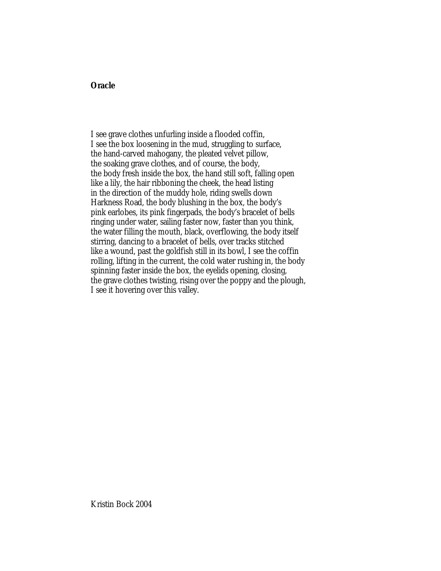## **Oracle**

I see grave clothes unfurling inside a flooded coffin, I see the box loosening in the mud, struggling to surface, the hand-carved mahogany, the pleated velvet pillow, the soaking grave clothes, and of course, the body, the body fresh inside the box, the hand still soft, falling open like a lily, the hair ribboning the cheek, the head listing in the direction of the muddy hole, riding swells down Harkness Road, the body blushing in the box, the body's pink earlobes, its pink fingerpads, the body's bracelet of bells ringing under water, sailing faster now, faster than you think, the water filling the mouth, black, overflowing, the body itself stirring, dancing to a bracelet of bells, over tracks stitched like a wound, past the goldfish still in its bowl, I see the coffin rolling, lifting in the current, the cold water rushing in, the body spinning faster inside the box, the eyelids opening, closing, the grave clothes twisting, rising over the poppy and the plough, I see it hovering over this valley.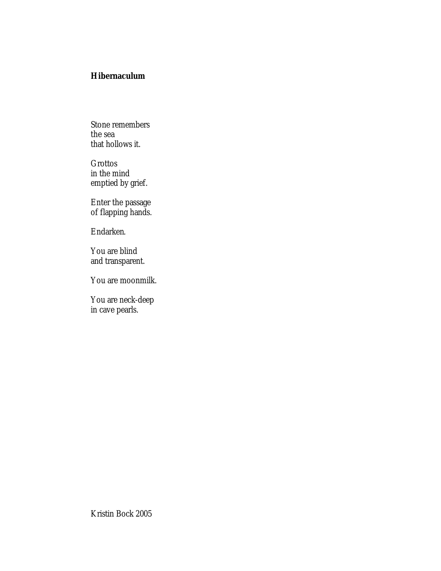## **Hibernaculum**

Stone remembers the sea that hollows it.

Grottos in the mind emptied by grief.

Enter the passage of flapping hands.

Endarken.

You are blind and transparent.

You are moonmilk.

You are neck-deep in cave pearls.